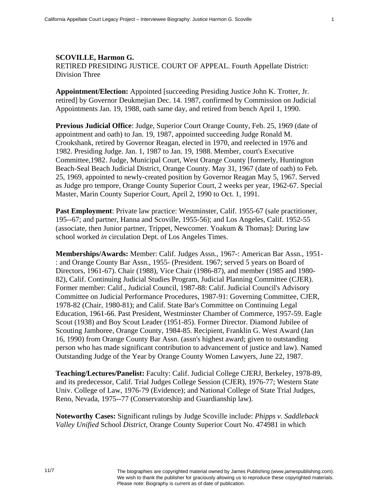## **SCOVILLE, Harmon G.**  RETlRED PRESIDING JUSTICE. COURT OF APPEAL. Fourth Appellate District: Division Three

**Appointment/Election:** Appointed [succeeding Presiding Justice John K. Trotter, Jr. retired] by Governor Deukmejian Dec. 14. 1987, confirmed by Commission on Judicial Appointments Jan. 19, 1988, oath same day, and retired from bench April 1, 1990.

**Previous Judicial Office**: Judge, Superior Court Orange County, Feb. 25, 1969 (date of appointment and oath) to Jan. 19, 1987, appointed succeeding Judge Ronald M. Crookshank, retired by Governor Reagan, elected in 1970, and reelected in 1976 and 1982. Presiding Judge. Jan. 1, 1987 to Jan. 19, 1988. Member, court's Executive Committee,1982. Judge, Municipal Court, West Orange County [formerly, Huntington Beach-Seal Beach Judicial District, Orange County. May 31, 1967 (date of oath) to Feb. 25, 1969, appointed to newly-created position by Governor Reagan May 5, 1967. Served as Judge pro tempore, Orange County Superior Court, 2 weeks per year, 1962-67. Special Master, Marin County Superior Court, April 2, 1990 to Oct. 1, 1991.

Past Employment: Private law practice: Westminster, Calif. 1955-67 (sale practitioner, 195--67; and partner, Hanna and Scoville, 1955-56); and Los Angeles, Calif. 1952-55 (associate, then Junior partner, Trippet, Newcomer. Yoakum & Thomas]: During law school worked *in* circulation Dept. of Los Angeles Times.

**Memberships/Awards:** Member: Calif. Judges Assn., 1967-: American Bar Assn., 1951- : and Orange County Bar Assn., 1955- (President. 1967; served 5 years on Board of Directors, 1961-67). Chair (1988), Vice Chair (1986-87), and member (1985 and 1980- 82), Calif. Continuing Judicial Studies Program, Judicial Planning Committee (CJER). Former member: Calif., Judicial Council, 1987-88: Calif. Judicial Council's Advisory Committee on Judicial Performance Procedures, 1987-91: Governing Committee, CJER, 1978-82 (Chair, 1980-81); and Calif. State Bar's Committee on Continuing Legal Education, 1961-66. Past President, Westminster Chamber of Commerce, 1957-59. Eagle Scout (1938) and Boy Scout Leader (1951-85). Former Director. Diamond Jubilee of Scouting Jamboree, Orange County, 1984-85. Recipient, Franklin G. West Award (Jan 16, 1990) from Orange County Bar Assn. (assn's highest award; given to outstanding person who has made significant contribution to advancement of justice and law). Named Outstanding Judge of the Year by Orange County Women Lawyers, June 22, 1987.

**Teaching/Lectures/Panelist:** Faculty: Calif. Judicial College CJERJ, Berkeley, 1978-89, and its predecessor, Calif. Trial Judges College Session (CJER), 1976-77; Western State Univ. College of Law, 1976-79 (Evidence); and National College of State Trial Judges, Reno, Nevada, 1975--77 (Conservatorship and Guardianship law).

**Noteworthy Cases:** Significant rulings by Judge Scoville include: *Phipps v. Saddleback Valley Unified* School *District,* Orange County Superior Court No. 474981 in which